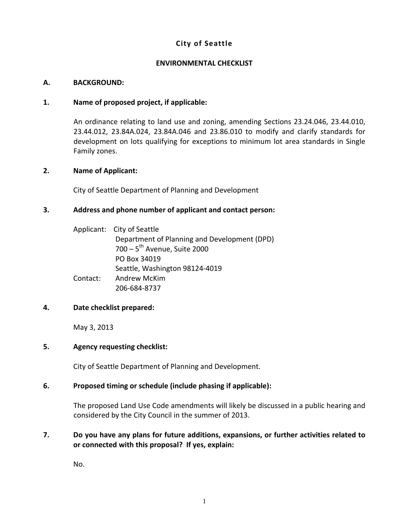## **City** of Seattle

#### **ENVIRONMENTAL CHECKLIST**

#### **A. BACKGROUND:**

#### **1. Name of proposed project, if applicable:**

An ordinance relating to land use and zoning, amending Sections 23.24.046, 23.44.010, 23.44.012, 23.84A.024, 23.84A.046 and 23.86.010 to modify and clarify standards for development on lots qualifying for exceptions to minimum lot area standards in Single Family zones.

#### **2. Name of Applicant:**

City of Seattle Department of Planning and Development

#### **3. Address and phone number of applicant and contact person:**

|          | Applicant: City of Seattle                   |
|----------|----------------------------------------------|
|          | Department of Planning and Development (DPD) |
|          | $700 - 5$ <sup>th</sup> Avenue, Suite 2000   |
|          | PO Box 34019                                 |
|          | Seattle, Washington 98124-4019               |
| Contact: | <b>Andrew McKim</b>                          |
|          | 206-684-8737                                 |

#### **4. Date checklist prepared:**

May 3, 2013

#### **5. Agency requesting checklist:**

City of Seattle Department of Planning and Development.

#### **6. Proposed timing or schedule (include phasing if applicable):**

The proposed Land Use Code amendments will likely be discussed in a public hearing and considered by the City Council in the summer of 2013.

### **7. Do you have any plans for future additions, expansions, or further activities related to or connected with this proposal? If yes, explain:**

No.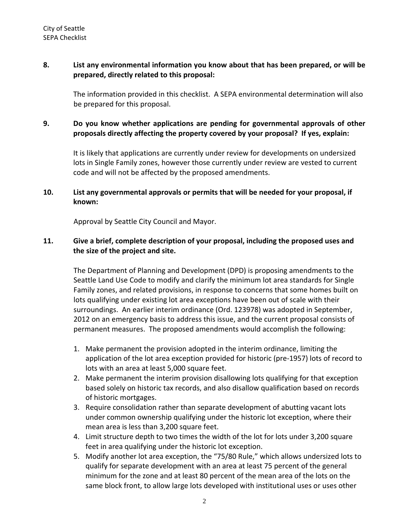### **8. List any environmental information you know about that has been prepared, or will be prepared, directly related to this proposal:**

The information provided in this checklist. A SEPA environmental determination will also be prepared for this proposal.

# **9. Do you know whether applications are pending for governmental approvals of other proposals directly affecting the property covered by your proposal? If yes, explain:**

It is likely that applications are currently under review for developments on undersized lots in Single Family zones, however those currently under review are vested to current code and will not be affected by the proposed amendments.

## **10. List any governmental approvals or permits that will be needed for your proposal, if known:**

Approval by Seattle City Council and Mayor.

# **11. Give a brief, complete description of your proposal, including the proposed uses and the size of the project and site.**

The Department of Planning and Development (DPD) is proposing amendments to the Seattle Land Use Code to modify and clarify the minimum lot area standards for Single Family zones, and related provisions, in response to concerns that some homes built on lots qualifying under existing lot area exceptions have been out of scale with their surroundings. An earlier interim ordinance (Ord. 123978) was adopted in September, 2012 on an emergency basis to address this issue, and the current proposal consists of permanent measures. The proposed amendments would accomplish the following:

- 1. Make permanent the provision adopted in the interim ordinance, limiting the application of the lot area exception provided for historic (pre‐1957) lots of record to lots with an area at least 5,000 square feet.
- 2. Make permanent the interim provision disallowing lots qualifying for that exception based solely on historic tax records, and also disallow qualification based on records of historic mortgages.
- 3. Require consolidation rather than separate development of abutting vacant lots under common ownership qualifying under the historic lot exception, where their mean area is less than 3,200 square feet.
- 4. Limit structure depth to two times the width of the lot for lots under 3,200 square feet in area qualifying under the historic lot exception.
- 5. Modify another lot area exception, the "75/80 Rule," which allows undersized lots to qualify for separate development with an area at least 75 percent of the general minimum for the zone and at least 80 percent of the mean area of the lots on the same block front, to allow large lots developed with institutional uses or uses other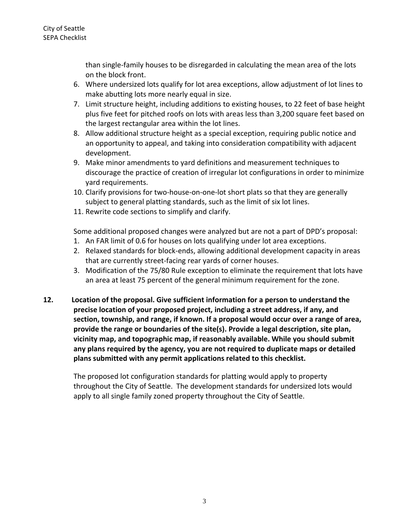than single‐family houses to be disregarded in calculating the mean area of the lots on the block front.

- 6. Where undersized lots qualify for lot area exceptions, allow adjustment of lot lines to make abutting lots more nearly equal in size.
- 7. Limit structure height, including additions to existing houses, to 22 feet of base height plus five feet for pitched roofs on lots with areas less than 3,200 square feet based on the largest rectangular area within the lot lines.
- 8. Allow additional structure height as a special exception, requiring public notice and an opportunity to appeal, and taking into consideration compatibility with adjacent development.
- 9. Make minor amendments to yard definitions and measurement techniques to discourage the practice of creation of irregular lot configurations in order to minimize yard requirements.
- 10. Clarify provisions for two‐house‐on‐one‐lot short plats so that they are generally subject to general platting standards, such as the limit of six lot lines.
- 11. Rewrite code sections to simplify and clarify.

Some additional proposed changes were analyzed but are not a part of DPD's proposal:

- 1. An FAR limit of 0.6 for houses on lots qualifying under lot area exceptions.
- 2. Relaxed standards for block‐ends, allowing additional development capacity in areas that are currently street‐facing rear yards of corner houses.
- 3. Modification of the 75/80 Rule exception to eliminate the requirement that lots have an area at least 75 percent of the general minimum requirement for the zone.
- **12. Location of the proposal. Give sufficient information for a person to understand the precise location of your proposed project, including a street address, if any, and section, township, and range, if known. If a proposal would occur over a range of area, provide the range or boundaries of the site(s). Provide a legal description, site plan, vicinity map, and topographic map, if reasonably available. While you should submit any plans required by the agency, you are not required to duplicate maps or detailed plans submitted with any permit applications related to this checklist.**

The proposed lot configuration standards for platting would apply to property throughout the City of Seattle. The development standards for undersized lots would apply to all single family zoned property throughout the City of Seattle.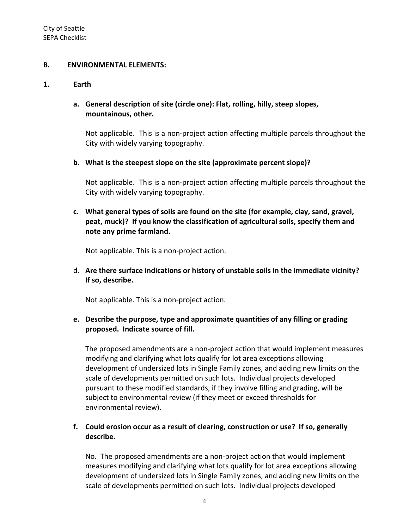#### **B. ENVIRONMENTAL ELEMENTS:**

#### **1. Earth**

## **a. General description of site (circle one): Flat, rolling, hilly, steep slopes, mountainous, other.**

Not applicable. This is a non‐project action affecting multiple parcels throughout the City with widely varying topography.

## **b. What is the steepest slope on the site (approximate percent slope)?**

Not applicable. This is a non‐project action affecting multiple parcels throughout the City with widely varying topography.

# **c. What general types of soils are found on the site (for example, clay, sand, gravel, peat, muck)? If you know the classification of agricultural soils, specify them and note any prime farmland.**

Not applicable. This is a non‐project action.

d. **Are there surface indications or history of unstable soils in the immediate vicinity? If so, describe.**

Not applicable. This is a non‐project action.

## **e. Describe the purpose, type and approximate quantities of any filling or grading proposed. Indicate source of fill.**

The proposed amendments are a non‐project action that would implement measures modifying and clarifying what lots qualify for lot area exceptions allowing development of undersized lots in Single Family zones, and adding new limits on the scale of developments permitted on such lots. Individual projects developed pursuant to these modified standards, if they involve filling and grading, will be subject to environmental review (if they meet or exceed thresholds for environmental review).

# **f. Could erosion occur as a result of clearing, construction or use? If so, generally describe.**

No. The proposed amendments are a non‐project action that would implement measures modifying and clarifying what lots qualify for lot area exceptions allowing development of undersized lots in Single Family zones, and adding new limits on the scale of developments permitted on such lots. Individual projects developed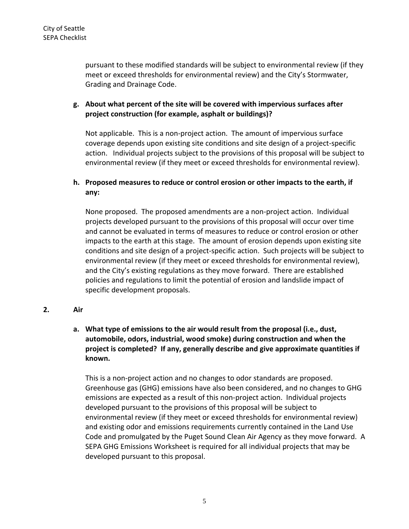pursuant to these modified standards will be subject to environmental review (if they meet or exceed thresholds for environmental review) and the City's Stormwater, Grading and Drainage Code.

# **g. About what percent of the site will be covered with impervious surfaces after project construction (for example, asphalt or buildings)?**

Not applicable. This is a non‐project action. The amount of impervious surface coverage depends upon existing site conditions and site design of a project‐specific action. Individual projects subject to the provisions of this proposal will be subject to environmental review (if they meet or exceed thresholds for environmental review).

# **h. Proposed measures to reduce or control erosion or other impacts to the earth, if any:**

None proposed. The proposed amendments are a non‐project action. Individual projects developed pursuant to the provisions of this proposal will occur over time and cannot be evaluated in terms of measures to reduce or control erosion or other impacts to the earth at this stage. The amount of erosion depends upon existing site conditions and site design of a project‐specific action. Such projects will be subject to environmental review (if they meet or exceed thresholds for environmental review), and the City's existing regulations as they move forward. There are established policies and regulations to limit the potential of erosion and landslide impact of specific development proposals.

**2. Air**

# **a. What type of emissions to the air would result from the proposal (i.e., dust, automobile, odors, industrial, wood smoke) during construction and when the project is completed? If any, generally describe and give approximate quantities if known.**

This is a non‐project action and no changes to odor standards are proposed. Greenhouse gas (GHG) emissions have also been considered, and no changes to GHG emissions are expected as a result of this non‐project action. Individual projects developed pursuant to the provisions of this proposal will be subject to environmental review (if they meet or exceed thresholds for environmental review) and existing odor and emissions requirements currently contained in the Land Use Code and promulgated by the Puget Sound Clean Air Agency as they move forward. A SEPA GHG Emissions Worksheet is required for all individual projects that may be developed pursuant to this proposal.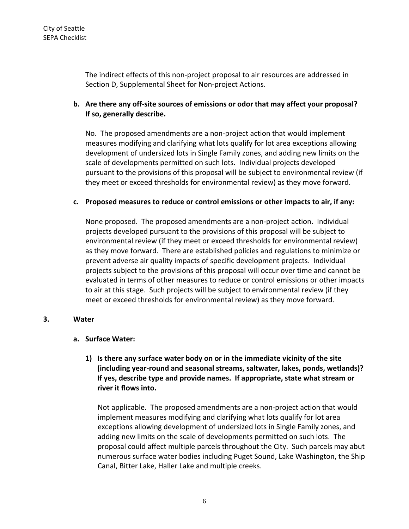The indirect effects of this non‐project proposal to air resources are addressed in Section D, Supplemental Sheet for Non‐project Actions.

# **b. Are there any off‐site sources of emissions or odor that may affect your proposal? If so, generally describe.**

No. The proposed amendments are a non‐project action that would implement measures modifying and clarifying what lots qualify for lot area exceptions allowing development of undersized lots in Single Family zones, and adding new limits on the scale of developments permitted on such lots. Individual projects developed pursuant to the provisions of this proposal will be subject to environmental review (if they meet or exceed thresholds for environmental review) as they move forward.

### **c. Proposed measures to reduce or control emissions or other impacts to air, if any:**

None proposed. The proposed amendments are a non‐project action. Individual projects developed pursuant to the provisions of this proposal will be subject to environmental review (if they meet or exceed thresholds for environmental review) as they move forward. There are established policies and regulations to minimize or prevent adverse air quality impacts of specific development projects. Individual projects subject to the provisions of this proposal will occur over time and cannot be evaluated in terms of other measures to reduce or control emissions or other impacts to air at this stage. Such projects will be subject to environmental review (if they meet or exceed thresholds for environmental review) as they move forward.

## **3. Water**

#### **a. Surface Water:**

**1) Is there any surface water body on or in the immediate vicinity of the site (including year‐round and seasonal streams, saltwater, lakes, ponds, wetlands)? If yes, describe type and provide names. If appropriate, state what stream or river it flows into.**

Not applicable. The proposed amendments are a non‐project action that would implement measures modifying and clarifying what lots qualify for lot area exceptions allowing development of undersized lots in Single Family zones, and adding new limits on the scale of developments permitted on such lots. The proposal could affect multiple parcels throughout the City. Such parcels may abut numerous surface water bodies including Puget Sound, Lake Washington, the Ship Canal, Bitter Lake, Haller Lake and multiple creeks.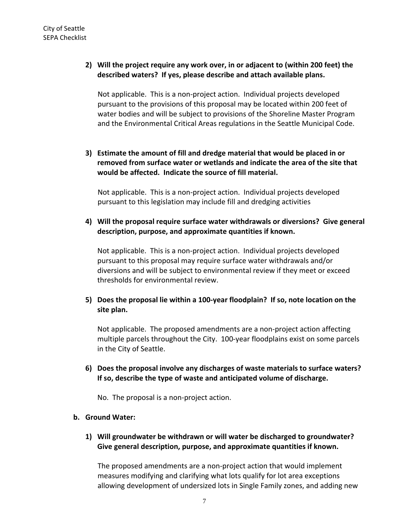## **2) Will the project require any work over, in or adjacent to (within 200 feet) the described waters? If yes, please describe and attach available plans.**

Not applicable. This is a non‐project action. Individual projects developed pursuant to the provisions of this proposal may be located within 200 feet of water bodies and will be subject to provisions of the Shoreline Master Program and the Environmental Critical Areas regulations in the Seattle Municipal Code.

**3) Estimate the amount of fill and dredge material that would be placed in or removed from surface water or wetlands and indicate the area of the site that would be affected. Indicate the source of fill material.**

Not applicable. This is a non‐project action. Individual projects developed pursuant to this legislation may include fill and dredging activities

**4) Will the proposal require surface water withdrawals or diversions? Give general description, purpose, and approximate quantities if known.**

Not applicable. This is a non‐project action. Individual projects developed pursuant to this proposal may require surface water withdrawals and/or diversions and will be subject to environmental review if they meet or exceed thresholds for environmental review.

**5) Does the proposal lie within a 100‐year floodplain? If so, note location on the site plan.**

Not applicable. The proposed amendments are a non‐project action affecting multiple parcels throughout the City. 100‐year floodplains exist on some parcels in the City of Seattle.

**6) Does the proposal involve any discharges of waste materials to surface waters? If so, describe the type of waste and anticipated volume of discharge.**

No. The proposal is a non‐project action.

#### **b. Ground Water:**

**1) Will groundwater be withdrawn or will water be discharged to groundwater? Give general description, purpose, and approximate quantities if known.**

The proposed amendments are a non‐project action that would implement measures modifying and clarifying what lots qualify for lot area exceptions allowing development of undersized lots in Single Family zones, and adding new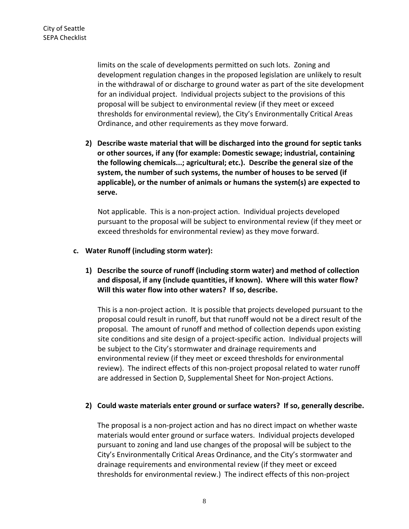limits on the scale of developments permitted on such lots.Zoning and development regulation changes in the proposed legislation are unlikely to result in the withdrawal of or discharge to ground water as part of the site development for an individual project. Individual projects subject to the provisions of this proposal will be subject to environmental review (if they meet or exceed thresholds for environmental review), the City's Environmentally Critical Areas Ordinance, and other requirements as they move forward.

**2) Describe waste material that will be discharged into the ground for septic tanks or other sources, if any (for example: Domestic sewage; industrial, containing the following chemicals...; agricultural; etc.). Describe the general size of the system, the number of such systems, the number of houses to be served (if applicable), or the number of animals or humans the system(s) are expected to serve.**

Not applicable. This is a non‐project action. Individual projects developed pursuant to the proposal will be subject to environmental review (if they meet or exceed thresholds for environmental review) as they move forward.

#### **c. Water Runoff (including storm water):**

**1) Describe the source of runoff (including storm water) and method of collection and disposal, if any (include quantities, if known). Where will this water flow? Will this water flow into other waters? If so, describe.**

This is a non‐project action. It is possible that projects developed pursuant to the proposal could result in runoff, but that runoff would not be a direct result of the proposal. The amount of runoff and method of collection depends upon existing site conditions and site design of a project‐specific action. Individual projects will be subject to the City's stormwater and drainage requirements and environmental review (if they meet or exceed thresholds for environmental review). The indirect effects of this non‐project proposal related to water runoff are addressed in Section D, Supplemental Sheet for Non-project Actions.

#### **2) Could waste materials enter ground or surface waters? If so, generally describe.**

The proposal is a non‐project action and has no direct impact on whether waste materials would enter ground or surface waters. Individual projects developed pursuant to zoning and land use changes of the proposal will be subject to the City's Environmentally Critical Areas Ordinance, and the City's stormwater and drainage requirements and environmental review (if they meet or exceed thresholds for environmental review.) The indirect effects of this non‐project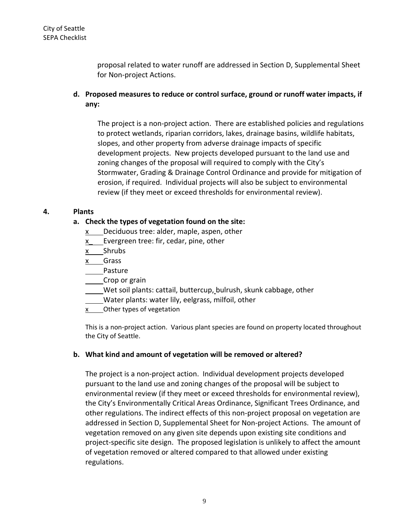proposal related to water runoff are addressed in Section D, Supplemental Sheet for Non‐project Actions.

**d. Proposed measures to reduce or control surface, ground or runoff water impacts, if any:**

The project is a non‐project action. There are established policies and regulations to protect wetlands, riparian corridors, lakes, drainage basins, wildlife habitats, slopes, and other property from adverse drainage impacts of specific development projects. New projects developed pursuant to the land use and zoning changes of the proposal will required to comply with the City's Stormwater, Grading & Drainage Control Ordinance and provide for mitigation of erosion, if required. Individual projects will also be subject to environmental review (if they meet or exceed thresholds for environmental review).

## **4. Plants**

## **a. Check the types of vegetation found on the site:**

- $x$  Deciduous tree: alder, maple, aspen, other
- x Evergreen tree: fir, cedar, pine, other
- x Shrubs
- x Grass
- Pasture
- Crop or grain
- Wet soil plants: cattail, buttercup, bulrush, skunk cabbage, other
- Water plants: water lily, eelgrass, milfoil, other
- x Other types of vegetation

This is a non‐project action. Various plant species are found on property located throughout the City of Seattle.

## **b. What kind and amount of vegetation will be removed or altered?**

The project is a non‐project action. Individual development projects developed pursuant to the land use and zoning changes of the proposal will be subject to environmental review (if they meet or exceed thresholds for environmental review), the City's Environmentally Critical Areas Ordinance, Significant Trees Ordinance, and other regulations. The indirect effects of this non‐project proposal on vegetation are addressed in Section D, Supplemental Sheet for Non‐project Actions. The amount of vegetation removed on any given site depends upon existing site conditions and project‐specific site design. The proposed legislation is unlikely to affect the amount of vegetation removed or altered compared to that allowed under existing regulations.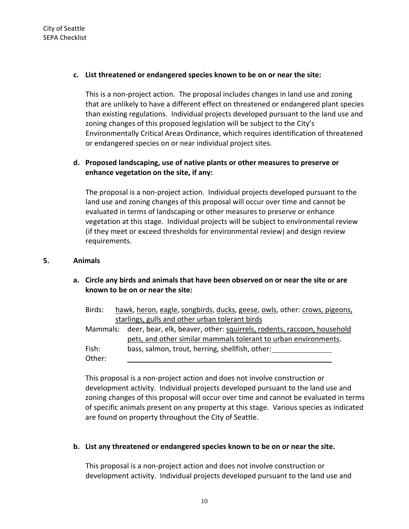#### **c. List threatened or endangered species known to be on or near the site:**

This is a non‐project action. The proposal includes changes in land use and zoning that are unlikely to have a different effect on threatened or endangered plant species than existing regulations. Individual projects developed pursuant to the land use and zoning changes of this proposed legislation will be subject to the City's Environmentally Critical Areas Ordinance, which requires identification of threatened or endangered species on or near individual project sites.

# **d. Proposed landscaping, use of native plants or other measures to preserve or enhance vegetation on the site, if any:**

The proposal is a non‐project action. Individual projects developed pursuant to the land use and zoning changes of this proposal will occur over time and cannot be evaluated in terms of landscaping or other measures to preserve or enhance vegetation at this stage. Individual projects will be subject to environmental review (if they meet or exceed thresholds for environmental review) and design review requirements.

#### **5. Animals**

## **a. Circle any birds and animals that have been observed on or near the site or are known to be on or near the site:**

| Birds: |  | hawk, heron, eagle, songbirds, ducks, geese, owls, other: crows, pigeons,       |
|--------|--|---------------------------------------------------------------------------------|
|        |  | starlings, gulls and other urban tolerant birds                                 |
|        |  | Mammals: deer, bear, elk, beaver, other: squirrels, rodents, raccoon, household |
|        |  | pets, and other similar mammals tolerant to urban environments.                 |
| Fish:  |  | bass, salmon, trout, herring, shellfish, other:                                 |
| Other: |  |                                                                                 |

This proposal is a non‐project action and does not involve construction or development activity. Individual projects developed pursuant to the land use and zoning changes of this proposal will occur over time and cannot be evaluated in terms of specific animals present on any property at this stage. Various species as indicated are found on property throughout the City of Seattle.

#### **b. List any threatened or endangered species known to be on or near the site.**

This proposal is a non‐project action and does not involve construction or development activity. Individual projects developed pursuant to the land use and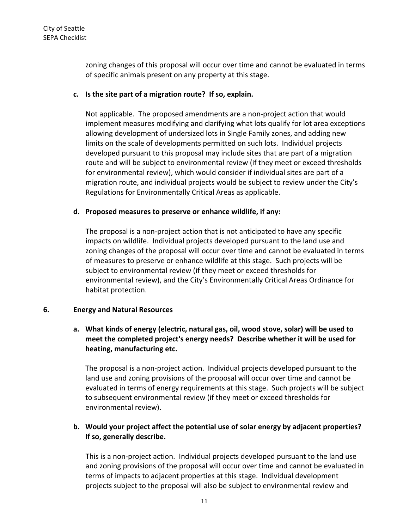zoning changes of this proposal will occur over time and cannot be evaluated in terms of specific animals present on any property at this stage.

### **c. Is the site part of a migration route? If so, explain.**

Not applicable. The proposed amendments are a non‐project action that would implement measures modifying and clarifying what lots qualify for lot area exceptions allowing development of undersized lots in Single Family zones, and adding new limits on the scale of developments permitted on such lots. Individual projects developed pursuant to this proposal may include sites that are part of a migration route and will be subject to environmental review (if they meet or exceed thresholds for environmental review), which would consider if individual sites are part of a migration route, and individual projects would be subject to review under the City's Regulations for Environmentally Critical Areas as applicable.

### **d. Proposed measures to preserve or enhance wildlife, if any:**

The proposal is a non‐project action that is not anticipated to have any specific impacts on wildlife. Individual projects developed pursuant to the land use and zoning changes of the proposal will occur over time and cannot be evaluated in terms of measures to preserve or enhance wildlife at this stage. Such projects will be subject to environmental review (if they meet or exceed thresholds for environmental review), and the City's Environmentally Critical Areas Ordinance for habitat protection.

## **6. Energy and Natural Resources**

# **a. What kinds of energy (electric, natural gas, oil, wood stove, solar) will be used to meet the completed project's energy needs? Describe whether it will be used for heating, manufacturing etc.**

The proposal is a non‐project action. Individual projects developed pursuant to the land use and zoning provisions of the proposal will occur over time and cannot be evaluated in terms of energy requirements at this stage. Such projects will be subject to subsequent environmental review (if they meet or exceed thresholds for environmental review).

# **b. Would your project affect the potential use of solar energy by adjacent properties? If so, generally describe.**

This is a non‐project action. Individual projects developed pursuant to the land use and zoning provisions of the proposal will occur over time and cannot be evaluated in terms of impacts to adjacent properties at this stage. Individual development projects subject to the proposal will also be subject to environmental review and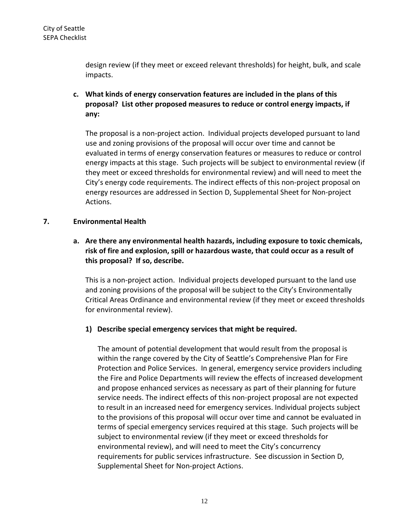design review (if they meet or exceed relevant thresholds) for height, bulk, and scale impacts.

**c. What kinds of energy conservation features are included in the plans of this proposal? List other proposed measures to reduce or control energy impacts, if any:**

The proposal is a non‐project action. Individual projects developed pursuant to land use and zoning provisions of the proposal will occur over time and cannot be evaluated in terms of energy conservation features or measures to reduce or control energy impacts at this stage. Such projects will be subject to environmental review (if they meet or exceed thresholds for environmental review) and will need to meet the City's energy code requirements. The indirect effects of this non‐project proposal on energy resources are addressed in Section D, Supplemental Sheet for Non‐project Actions.

### **7. Environmental Health**

**a. Are there any environmental health hazards, including exposure to toxic chemicals, risk of fire and explosion, spill or hazardous waste, that could occur as a result of this proposal? If so, describe.**

This is a non‐project action. Individual projects developed pursuant to the land use and zoning provisions of the proposal will be subject to the City's Environmentally Critical Areas Ordinance and environmental review (if they meet or exceed thresholds for environmental review).

## **1) Describe special emergency services that might be required.**

The amount of potential development that would result from the proposal is within the range covered by the City of Seattle's Comprehensive Plan for Fire Protection and Police Services. In general, emergency service providers including the Fire and Police Departments will review the effects of increased development and propose enhanced services as necessary as part of their planning for future service needs. The indirect effects of this non‐project proposal are not expected to result in an increased need for emergency services. Individual projects subject to the provisions of this proposal will occur over time and cannot be evaluated in terms of special emergency services required at this stage. Such projects will be subject to environmental review (if they meet or exceed thresholds for environmental review), and will need to meet the City's concurrency requirements for public services infrastructure. See discussion in Section D, Supplemental Sheet for Non‐project Actions.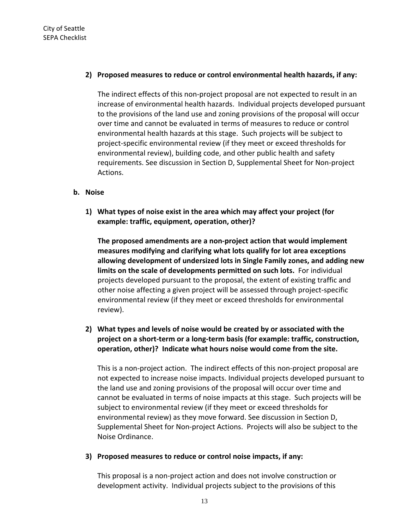### **2) Proposed measures to reduce or control environmental health hazards, if any:**

The indirect effects of this non‐project proposal are not expected to result in an increase of environmental health hazards. Individual projects developed pursuant to the provisions of the land use and zoning provisions of the proposal will occur over time and cannot be evaluated in terms of measures to reduce or control environmental health hazards at this stage. Such projects will be subject to project‐specific environmental review (if they meet or exceed thresholds for environmental review), building code, and other public health and safety requirements. See discussion in Section D, Supplemental Sheet for Non‐project Actions.

#### **b. Noise**

**1) What types of noise exist in the area which may affect your project (for example: traffic, equipment, operation, other)?**

**The proposed amendments are a non‐project action that would implement measures modifying and clarifying what lots qualify for lot area exceptions allowing development of undersized lots in Single Family zones, and adding new limits on the scale of developments permitted on such lots.** For individual projects developed pursuant to the proposal, the extent of existing traffic and other noise affecting a given project will be assessed through project‐specific environmental review (if they meet or exceed thresholds for environmental review).

# **2) What types and levels of noise would be created by or associated with the project on a short‐term or a long‐term basis (for example: traffic, construction, operation, other)? Indicate what hours noise would come from the site.**

This is a non‐project action. The indirect effects of this non‐project proposal are not expected to increase noise impacts. Individual projects developed pursuant to the land use and zoning provisions of the proposal will occur over time and cannot be evaluated in terms of noise impacts at this stage. Such projects will be subject to environmental review (if they meet or exceed thresholds for environmental review) as they move forward. See discussion in Section D, Supplemental Sheet for Non‐project Actions. Projects will also be subject to the Noise Ordinance.

#### **3) Proposed measures to reduce or control noise impacts, if any:**

This proposal is a non‐project action and does not involve construction or development activity. Individual projects subject to the provisions of this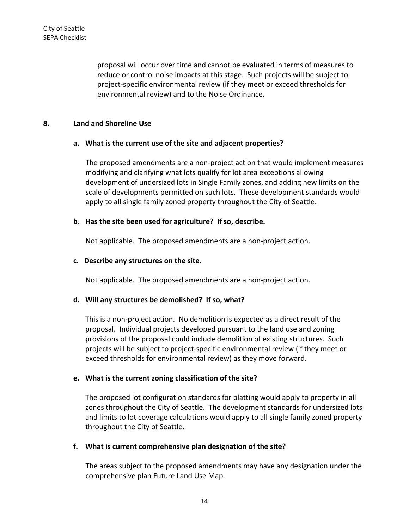proposal will occur over time and cannot be evaluated in terms of measures to reduce or control noise impacts at this stage. Such projects will be subject to project‐specific environmental review (if they meet or exceed thresholds for environmental review) and to the Noise Ordinance.

#### **8. Land and Shoreline Use**

#### **a. What is the current use of the site and adjacent properties?**

The proposed amendments are a non‐project action that would implement measures modifying and clarifying what lots qualify for lot area exceptions allowing development of undersized lots in Single Family zones, and adding new limits on the scale of developments permitted on such lots. These development standards would apply to all single family zoned property throughout the City of Seattle.

#### **b. Has the site been used for agriculture? If so, describe.**

Not applicable. The proposed amendments are a non‐project action.

#### **c. Describe any structures on the site.**

Not applicable. The proposed amendments are a non‐project action.

#### **d. Will any structures be demolished? If so, what?**

This is a non‐project action. No demolition is expected as a direct result of the proposal. Individual projects developed pursuant to the land use and zoning provisions of the proposal could include demolition of existing structures. Such projects will be subject to project‐specific environmental review (if they meet or exceed thresholds for environmental review) as they move forward.

#### **e. What is the current zoning classification of the site?**

The proposed lot configuration standards for platting would apply to property in all zones throughout the City of Seattle. The development standards for undersized lots and limits to lot coverage calculations would apply to all single family zoned property throughout the City of Seattle.

#### **f. What is current comprehensive plan designation of the site?**

The areas subject to the proposed amendments may have any designation under the comprehensive plan Future Land Use Map.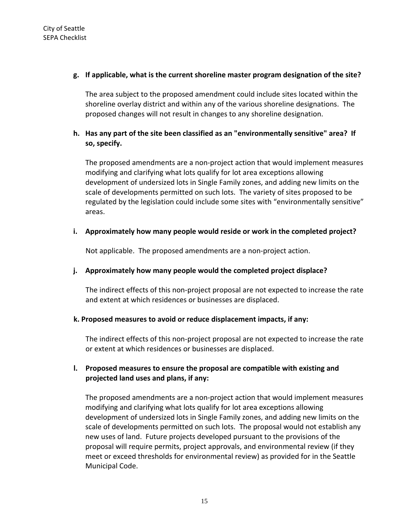## **g. If applicable, what is the current shoreline master program designation of the site?**

The area subject to the proposed amendment could include sites located within the shoreline overlay district and within any of the various shoreline designations. The proposed changes will not result in changes to any shoreline designation.

# **h. Has any part of the site been classified as an "environmentally sensitive" area? If so, specify.**

The proposed amendments are a non‐project action that would implement measures modifying and clarifying what lots qualify for lot area exceptions allowing development of undersized lots in Single Family zones, and adding new limits on the scale of developments permitted on such lots. The variety of sites proposed to be regulated by the legislation could include some sites with "environmentally sensitive" areas.

## **i. Approximately how many people would reside or work in the completed project?**

Not applicable. The proposed amendments are a non‐project action.

## **j. Approximately how many people would the completed project displace?**

The indirect effects of this non‐project proposal are not expected to increase the rate and extent at which residences or businesses are displaced.

## **k. Proposed measures to avoid or reduce displacement impacts, if any:**

The indirect effects of this non‐project proposal are not expected to increase the rate or extent at which residences or businesses are displaced.

# **l. Proposed measures to ensure the proposal are compatible with existing and projected land uses and plans, if any:**

The proposed amendments are a non‐project action that would implement measures modifying and clarifying what lots qualify for lot area exceptions allowing development of undersized lots in Single Family zones, and adding new limits on the scale of developments permitted on such lots. The proposal would not establish any new uses of land. Future projects developed pursuant to the provisions of the proposal will require permits, project approvals, and environmental review (if they meet or exceed thresholds for environmental review) as provided for in the Seattle Municipal Code.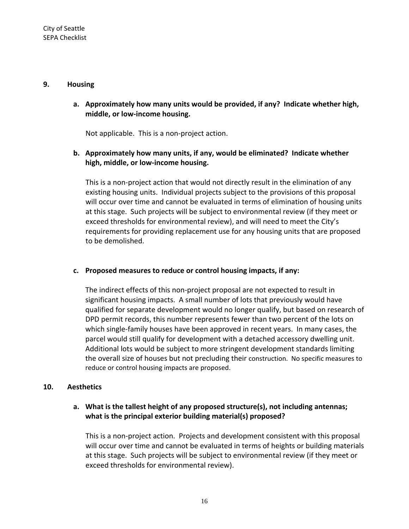#### **9. Housing**

**a. Approximately how many units would be provided, if any? Indicate whether high, middle, or low‐income housing.**

Not applicable. This is a non‐project action.

# **b. Approximately how many units, if any, would be eliminated? Indicate whether high, middle, or low‐income housing.**

This is a non‐project action that would not directly result in the elimination of any existing housing units. Individual projects subject to the provisions of this proposal will occur over time and cannot be evaluated in terms of elimination of housing units at this stage. Such projects will be subject to environmental review (if they meet or exceed thresholds for environmental review), and will need to meet the City's requirements for providing replacement use for any housing units that are proposed to be demolished.

#### **c. Proposed measures to reduce or control housing impacts, if any:**

The indirect effects of this non‐project proposal are not expected to result in significant housing impacts. A small number of lots that previously would have qualified for separate development would no longer qualify, but based on research of DPD permit records, this number represents fewer than two percent of the lots on which single‐family houses have been approved in recent years. In many cases, the parcel would still qualify for development with a detached accessory dwelling unit. Additional lots would be subject to more stringent development standards limiting the overall size of houses but not precluding their construction. No specific measures to reduce or control housing impacts are proposed.

#### **10. Aesthetics**

## **a. What is the tallest height of any proposed structure(s), not including antennas; what is the principal exterior building material(s) proposed?**

This is a non‐project action. Projects and development consistent with this proposal will occur over time and cannot be evaluated in terms of heights or building materials at this stage. Such projects will be subject to environmental review (if they meet or exceed thresholds for environmental review).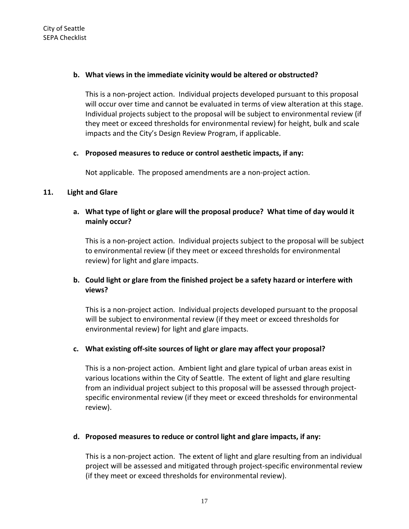### **b. What views in the immediate vicinity would be altered or obstructed?**

This is a non‐project action. Individual projects developed pursuant to this proposal will occur over time and cannot be evaluated in terms of view alteration at this stage. Individual projects subject to the proposal will be subject to environmental review (if they meet or exceed thresholds for environmental review) for height, bulk and scale impacts and the City's Design Review Program, if applicable.

## **c. Proposed measures to reduce or control aesthetic impacts, if any:**

Not applicable. The proposed amendments are a non‐project action.

### **11. Light and Glare**

## **a. What type of light or glare will the proposal produce? What time of day would it mainly occur?**

This is a non‐project action. Individual projects subject to the proposal will be subject to environmental review (if they meet or exceed thresholds for environmental review) for light and glare impacts.

# **b. Could light or glare from the finished project be a safety hazard or interfere with views?**

This is a non‐project action. Individual projects developed pursuant to the proposal will be subject to environmental review (if they meet or exceed thresholds for environmental review) for light and glare impacts.

## **c. What existing off‐site sources of light or glare may affect your proposal?**

This is a non‐project action. Ambient light and glare typical of urban areas exist in various locations within the City of Seattle. The extent of light and glare resulting from an individual project subject to this proposal will be assessed through projectspecific environmental review (if they meet or exceed thresholds for environmental review).

#### **d. Proposed measures to reduce or control light and glare impacts, if any:**

This is a non‐project action. The extent of light and glare resulting from an individual project will be assessed and mitigated through project‐specific environmental review (if they meet or exceed thresholds for environmental review).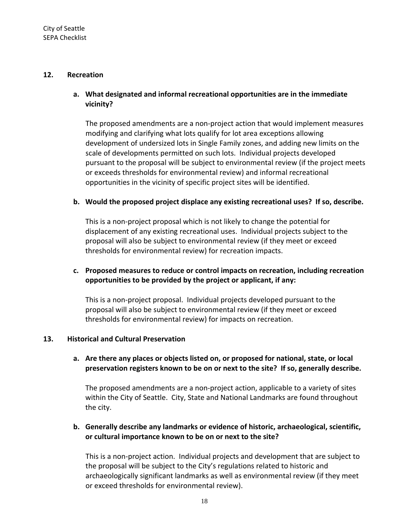#### **12. Recreation**

# **a. What designated and informal recreational opportunities are in the immediate vicinity?**

The proposed amendments are a non‐project action that would implement measures modifying and clarifying what lots qualify for lot area exceptions allowing development of undersized lots in Single Family zones, and adding new limits on the scale of developments permitted on such lots.Individual projects developed pursuant to the proposal will be subject to environmental review (if the project meets or exceeds thresholds for environmental review) and informal recreational opportunities in the vicinity of specific project sites will be identified.

#### **b. Would the proposed project displace any existing recreational uses? If so, describe.**

This is a non‐project proposal which is not likely to change the potential for displacement of any existing recreational uses. Individual projects subject to the proposal will also be subject to environmental review (if they meet or exceed thresholds for environmental review) for recreation impacts.

### **c. Proposed measures to reduce or control impacts on recreation, including recreation opportunities to be provided by the project or applicant, if any:**

This is a non‐project proposal. Individual projects developed pursuant to the proposal will also be subject to environmental review (if they meet or exceed thresholds for environmental review) for impacts on recreation.

#### **13. Historical and Cultural Preservation**

### **a. Are there any places or objects listed on, or proposed for national, state, or local preservation registers known to be on or next to the site? If so, generally describe.**

The proposed amendments are a non‐project action, applicable to a variety of sites within the City of Seattle. City, State and National Landmarks are found throughout the city.

## **b. Generally describe any landmarks or evidence of historic, archaeological, scientific, or cultural importance known to be on or next to the site?**

This is a non‐project action. Individual projects and development that are subject to the proposal will be subject to the City's regulations related to historic and archaeologically significant landmarks as well as environmental review (if they meet or exceed thresholds for environmental review).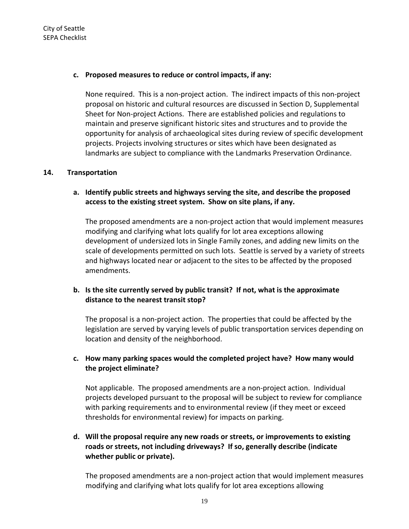### **c. Proposed measures to reduce or control impacts, if any:**

None required. This is a non‐project action. The indirect impacts of this non‐project proposal on historic and cultural resources are discussed in Section D, Supplemental Sheet for Non-project Actions. There are established policies and regulations to maintain and preserve significant historic sites and structures and to provide the opportunity for analysis of archaeological sites during review of specific development projects. Projects involving structures or sites which have been designated as landmarks are subject to compliance with the Landmarks Preservation Ordinance.

#### **14. Transportation**

## **a. Identify public streets and highways serving the site, and describe the proposed access to the existing street system. Show on site plans, if any.**

The proposed amendments are a non‐project action that would implement measures modifying and clarifying what lots qualify for lot area exceptions allowing development of undersized lots in Single Family zones, and adding new limits on the scale of developments permitted on such lots. Seattle is served by a variety of streets and highways located near or adjacent to the sites to be affected by the proposed amendments.

# **b. Is the site currently served by public transit? If not, what is the approximate distance to the nearest transit stop?**

The proposal is a non‐project action. The properties that could be affected by the legislation are served by varying levels of public transportation services depending on location and density of the neighborhood.

## **c. How many parking spaces would the completed project have? How many would the project eliminate?**

Not applicable. The proposed amendments are a non‐project action. Individual projects developed pursuant to the proposal will be subject to review for compliance with parking requirements and to environmental review (if they meet or exceed thresholds for environmental review) for impacts on parking.

# **d. Will the proposal require any new roads or streets, or improvements to existing roads or streets, not including driveways? If so, generally describe (indicate whether public or private).**

The proposed amendments are a non‐project action that would implement measures modifying and clarifying what lots qualify for lot area exceptions allowing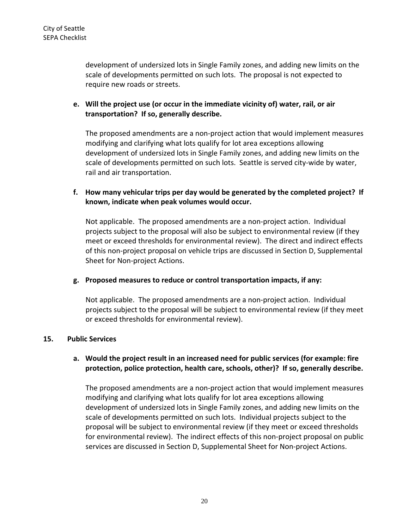development of undersized lots in Single Family zones, and adding new limits on the scale of developments permitted on such lots.The proposal is not expected to require new roads or streets.

## **e. Will the project use (or occur in the immediate vicinity of) water, rail, or air transportation? If so, generally describe.**

The proposed amendments are a non‐project action that would implement measures modifying and clarifying what lots qualify for lot area exceptions allowing development of undersized lots in Single Family zones, and adding new limits on the scale of developments permitted on such lots. Seattle is served city-wide by water, rail and air transportation.

# **f. How many vehicular trips per day would be generated by the completed project? If known, indicate when peak volumes would occur.**

Not applicable. The proposed amendments are a non‐project action. Individual projects subject to the proposal will also be subject to environmental review (if they meet or exceed thresholds for environmental review). The direct and indirect effects of this non‐project proposal on vehicle trips are discussed in Section D, Supplemental Sheet for Non‐project Actions.

#### **g. Proposed measures to reduce or control transportation impacts, if any:**

Not applicable. The proposed amendments are a non‐project action. Individual projects subject to the proposal will be subject to environmental review (if they meet or exceed thresholds for environmental review).

#### **15. Public Services**

## **a. Would the project result in an increased need for public services (for example: fire protection, police protection, health care, schools, other)? If so, generally describe.**

The proposed amendments are a non‐project action that would implement measures modifying and clarifying what lots qualify for lot area exceptions allowing development of undersized lots in Single Family zones, and adding new limits on the scale of developments permitted on such lots. Individual projects subject to the proposal will be subject to environmental review (if they meet or exceed thresholds for environmental review). The indirect effects of this non-project proposal on public services are discussed in Section D, Supplemental Sheet for Non-project Actions.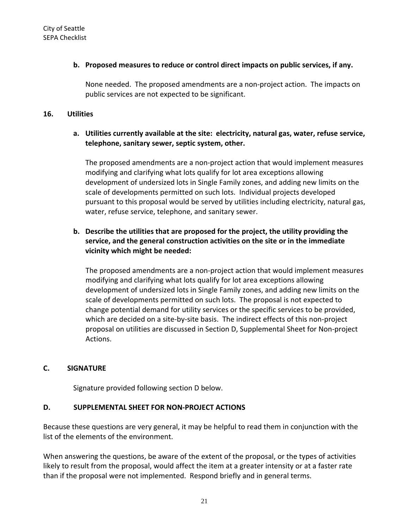### **b. Proposed measures to reduce or control direct impacts on public services, if any.**

None needed. The proposed amendments are a non‐project action. The impacts on public services are not expected to be significant.

#### **16. Utilities**

### **a. Utilities currently available at the site: electricity, natural gas, water, refuse service, telephone, sanitary sewer, septic system, other.**

The proposed amendments are a non‐project action that would implement measures modifying and clarifying what lots qualify for lot area exceptions allowing development of undersized lots in Single Family zones, and adding new limits on the scale of developments permitted on such lots. Individual projects developed pursuant to this proposal would be served by utilities including electricity, natural gas, water, refuse service, telephone, and sanitary sewer.

# **b. Describe the utilities that are proposed for the project, the utility providing the service, and the general construction activities on the site or in the immediate vicinity which might be needed:**

The proposed amendments are a non‐project action that would implement measures modifying and clarifying what lots qualify for lot area exceptions allowing development of undersized lots in Single Family zones, and adding new limits on the scale of developments permitted on such lots. The proposal is not expected to change potential demand for utility services or the specific services to be provided, which are decided on a site‐by‐site basis. The indirect effects of this non‐project proposal on utilities are discussed in Section D, Supplemental Sheet for Non‐project Actions.

## **C. SIGNATURE**

Signature provided following section D below.

## **D. SUPPLEMENTAL SHEET FOR NON‐PROJECT ACTIONS**

Because these questions are very general, it may be helpful to read them in conjunction with the list of the elements of the environment.

When answering the questions, be aware of the extent of the proposal, or the types of activities likely to result from the proposal, would affect the item at a greater intensity or at a faster rate than if the proposal were not implemented. Respond briefly and in general terms.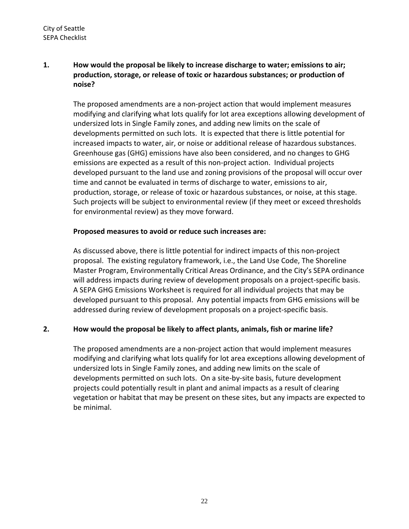# **1. How would the proposal be likely to increase discharge to water; emissions to air; production, storage, or release of toxic or hazardous substances; or production of noise?**

The proposed amendments are a non‐project action that would implement measures modifying and clarifying what lots qualify for lot area exceptions allowing development of undersized lots in Single Family zones, and adding new limits on the scale of developments permitted on such lots. It is expected that there is little potential for increased impacts to water, air, or noise or additional release of hazardous substances. Greenhouse gas (GHG) emissions have also been considered, and no changes to GHG emissions are expected as a result of this non‐project action. Individual projects developed pursuant to the land use and zoning provisions of the proposal will occur over time and cannot be evaluated in terms of discharge to water, emissions to air, production, storage, or release of toxic or hazardous substances, or noise, at this stage. Such projects will be subject to environmental review (if they meet or exceed thresholds for environmental review) as they move forward.

## **Proposed measures to avoid or reduce such increases are:**

As discussed above, there is little potential for indirect impacts of this non‐project proposal. The existing regulatory framework, i.e., the Land Use Code, The Shoreline Master Program, Environmentally Critical Areas Ordinance, and the City's SEPA ordinance will address impacts during review of development proposals on a project‐specific basis. A SEPA GHG Emissions Worksheet is required for all individual projects that may be developed pursuant to this proposal. Any potential impacts from GHG emissions will be addressed during review of development proposals on a project‐specific basis.

## **2. How would the proposal be likely to affect plants, animals, fish or marine life?**

The proposed amendments are a non‐project action that would implement measures modifying and clarifying what lots qualify for lot area exceptions allowing development of undersized lots in Single Family zones, and adding new limits on the scale of developments permitted on such lots. On a site‐by‐site basis, future development projects could potentially result in plant and animal impacts as a result of clearing vegetation or habitat that may be present on these sites, but any impacts are expected to be minimal.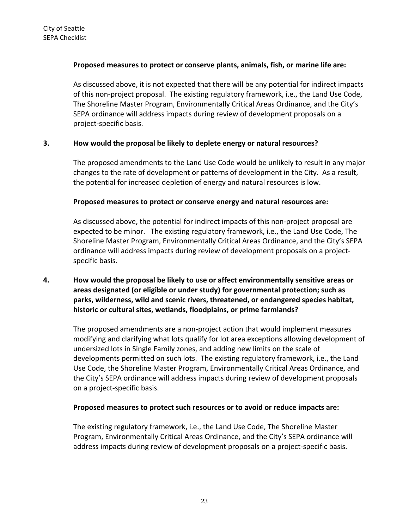### **Proposed measures to protect or conserve plants, animals, fish, or marine life are:**

As discussed above, it is not expected that there will be any potential for indirect impacts of this non‐project proposal. The existing regulatory framework, i.e., the Land Use Code, The Shoreline Master Program, Environmentally Critical Areas Ordinance, and the City's SEPA ordinance will address impacts during review of development proposals on a project‐specific basis.

## **3. How would the proposal be likely to deplete energy or natural resources?**

The proposed amendments to the Land Use Code would be unlikely to result in any major changes to the rate of development or patterns of development in the City. As a result, the potential for increased depletion of energy and natural resources is low.

#### **Proposed measures to protect or conserve energy and natural resources are:**

As discussed above, the potential for indirect impacts of this non‐project proposal are expected to be minor. The existing regulatory framework, i.e., the Land Use Code, The Shoreline Master Program, Environmentally Critical Areas Ordinance, and the City's SEPA ordinance will address impacts during review of development proposals on a project‐ specific basis.

# **4. How would the proposal be likely to use or affect environmentally sensitive areas or areas designated (or eligible or under study) for governmental protection; such as parks, wilderness, wild and scenic rivers, threatened, or endangered species habitat, historic or cultural sites, wetlands, floodplains, or prime farmlands?**

The proposed amendments are a non‐project action that would implement measures modifying and clarifying what lots qualify for lot area exceptions allowing development of undersized lots in Single Family zones, and adding new limits on the scale of developments permitted on such lots. The existing regulatory framework, i.e., the Land Use Code, the Shoreline Master Program, Environmentally Critical Areas Ordinance, and the City's SEPA ordinance will address impacts during review of development proposals on a project‐specific basis.

#### **Proposed measures to protect such resources or to avoid or reduce impacts are:**

The existing regulatory framework, i.e., the Land Use Code, The Shoreline Master Program, Environmentally Critical Areas Ordinance, and the City's SEPA ordinance will address impacts during review of development proposals on a project‐specific basis.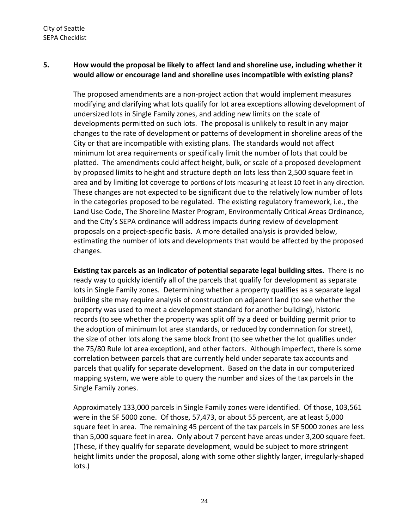## **5. How would the proposal be likely to affect land and shoreline use, including whether it would allow or encourage land and shoreline uses incompatible with existing plans?**

The proposed amendments are a non‐project action that would implement measures modifying and clarifying what lots qualify for lot area exceptions allowing development of undersized lots in Single Family zones, and adding new limits on the scale of developments permitted on such lots. The proposal is unlikely to result in any major changes to the rate of development or patterns of development in shoreline areas of the City or that are incompatible with existing plans. The standards would not affect minimum lot area requirements or specifically limit the number of lots that could be platted. The amendments could affect height, bulk, or scale of a proposed development by proposed limits to height and structure depth on lots less than 2,500 square feet in area and by limiting lot coverage to portions of lots measuring at least 10 feet in any direction. These changes are not expected to be significant due to the relatively low number of lots in the categories proposed to be regulated. The existing regulatory framework, i.e., the Land Use Code, The Shoreline Master Program, Environmentally Critical Areas Ordinance, and the City's SEPA ordinance will address impacts during review of development proposals on a project‐specific basis. A more detailed analysis is provided below, estimating the number of lots and developments that would be affected by the proposed changes.

**Existing tax parcels as an indicator of potential separate legal building sites.** There is no ready way to quickly identify all of the parcels that qualify for development as separate lots in Single Family zones. Determining whether a property qualifies as a separate legal building site may require analysis of construction on adjacent land (to see whether the property was used to meet a development standard for another building), historic records (to see whether the property was split off by a deed or building permit prior to the adoption of minimum lot area standards, or reduced by condemnation for street), the size of other lots along the same block front (to see whether the lot qualifies under the 75/80 Rule lot area exception), and other factors. Although imperfect, there is some correlation between parcels that are currently held under separate tax accounts and parcels that qualify for separate development. Based on the data in our computerized mapping system, we were able to query the number and sizes of the tax parcels in the Single Family zones.

Approximately 133,000 parcels in Single Family zones were identified. Of those, 103,561 were in the SF 5000 zone. Of those, 57,473, or about 55 percent, are at least 5,000 square feet in area. The remaining 45 percent of the tax parcels in SF 5000 zones are less than 5,000 square feet in area. Only about 7 percent have areas under 3,200 square feet. (These, if they qualify for separate development, would be subject to more stringent height limits under the proposal, along with some other slightly larger, irregularly‐shaped lots.)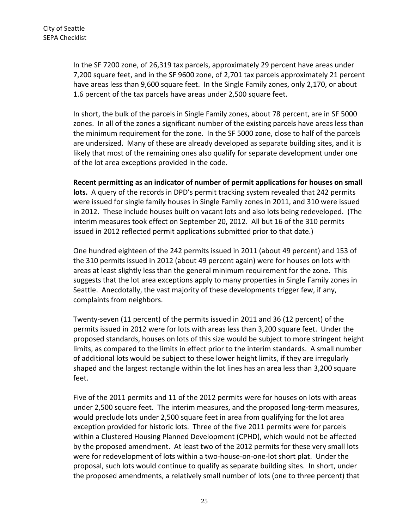In the SF 7200 zone, of 26,319 tax parcels, approximately 29 percent have areas under 7,200 square feet, and in the SF 9600 zone, of 2,701 tax parcels approximately 21 percent have areas less than 9,600 square feet. In the Single Family zones, only 2,170, or about 1.6 percent of the tax parcels have areas under 2,500 square feet.

In short, the bulk of the parcels in Single Family zones, about 78 percent, are in SF 5000 zones. In all of the zones a significant number of the existing parcels have areas less than the minimum requirement for the zone. In the SF 5000 zone, close to half of the parcels are undersized. Many of these are already developed as separate building sites, and it is likely that most of the remaining ones also qualify for separate development under one of the lot area exceptions provided in the code.

**Recent permitting as an indicator of number of permit applications for houses on small lots.** A query of the records in DPD's permit tracking system revealed that 242 permits were issued for single family houses in Single Family zones in 2011, and 310 were issued in 2012. These include houses built on vacant lots and also lots being redeveloped. (The interim measures took effect on September 20, 2012. All but 16 of the 310 permits issued in 2012 reflected permit applications submitted prior to that date.)

One hundred eighteen of the 242 permits issued in 2011 (about 49 percent) and 153 of the 310 permits issued in 2012 (about 49 percent again) were for houses on lots with areas at least slightly less than the general minimum requirement for the zone. This suggests that the lot area exceptions apply to many properties in Single Family zones in Seattle. Anecdotally, the vast majority of these developments trigger few, if any, complaints from neighbors.

Twenty‐seven (11 percent) of the permits issued in 2011 and 36 (12 percent) of the permits issued in 2012 were for lots with areas less than 3,200 square feet. Under the proposed standards, houses on lots of this size would be subject to more stringent height limits, as compared to the limits in effect prior to the interim standards. A small number of additional lots would be subject to these lower height limits, if they are irregularly shaped and the largest rectangle within the lot lines has an area less than 3,200 square feet.

Five of the 2011 permits and 11 of the 2012 permits were for houses on lots with areas under 2,500 square feet. The interim measures, and the proposed long‐term measures, would preclude lots under 2,500 square feet in area from qualifying for the lot area exception provided for historic lots. Three of the five 2011 permits were for parcels within a Clustered Housing Planned Development (CPHD), which would not be affected by the proposed amendment. At least two of the 2012 permits for these very small lots were for redevelopment of lots within a two‐house‐on‐one‐lot short plat. Under the proposal, such lots would continue to qualify as separate building sites. In short, under the proposed amendments, a relatively small number of lots (one to three percent) that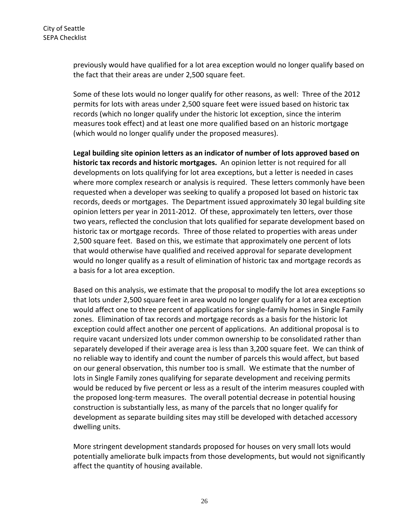previously would have qualified for a lot area exception would no longer qualify based on the fact that their areas are under 2,500 square feet.

Some of these lots would no longer qualify for other reasons, as well: Three of the 2012 permits for lots with areas under 2,500 square feet were issued based on historic tax records (which no longer qualify under the historic lot exception, since the interim measures took effect) and at least one more qualified based on an historic mortgage (which would no longer qualify under the proposed measures).

**Legal building site opinion letters as an indicator of number of lots approved based on historic tax records and historic mortgages.** An opinion letter is not required for all developments on lots qualifying for lot area exceptions, but a letter is needed in cases where more complex research or analysis is required. These letters commonly have been requested when a developer was seeking to qualify a proposed lot based on historic tax records, deeds or mortgages. The Department issued approximately 30 legal building site opinion letters per year in 2011‐2012. Of these, approximately ten letters, over those two years, reflected the conclusion that lots qualified for separate development based on historic tax or mortgage records. Three of those related to properties with areas under 2,500 square feet. Based on this, we estimate that approximately one percent of lots that would otherwise have qualified and received approval for separate development would no longer qualify as a result of elimination of historic tax and mortgage records as a basis for a lot area exception.

Based on this analysis, we estimate that the proposal to modify the lot area exceptions so that lots under 2,500 square feet in area would no longer qualify for a lot area exception would affect one to three percent of applications for single‐family homes in Single Family zones. Elimination of tax records and mortgage records as a basis for the historic lot exception could affect another one percent of applications. An additional proposal is to require vacant undersized lots under common ownership to be consolidated rather than separately developed if their average area is less than 3,200 square feet. We can think of no reliable way to identify and count the number of parcels this would affect, but based on our general observation, this number too is small. We estimate that the number of lots in Single Family zones qualifying for separate development and receiving permits would be reduced by five percent or less as a result of the interim measures coupled with the proposed long‐term measures. The overall potential decrease in potential housing construction is substantially less, as many of the parcels that no longer qualify for development as separate building sites may still be developed with detached accessory dwelling units.

More stringent development standards proposed for houses on very small lots would potentially ameliorate bulk impacts from those developments, but would not significantly affect the quantity of housing available.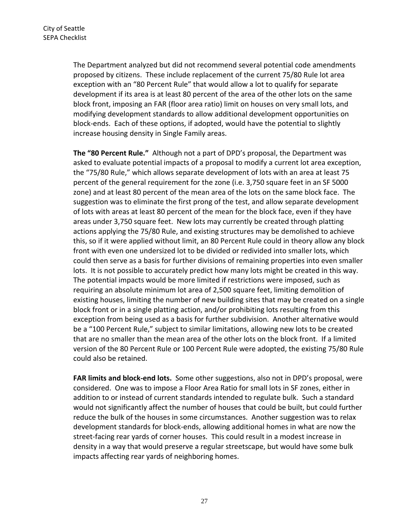The Department analyzed but did not recommend several potential code amendments proposed by citizens. These include replacement of the current 75/80 Rule lot area exception with an "80 Percent Rule" that would allow a lot to qualify for separate development if its area is at least 80 percent of the area of the other lots on the same block front, imposing an FAR (floor area ratio) limit on houses on very small lots, and modifying development standards to allow additional development opportunities on block‐ends. Each of these options, if adopted, would have the potential to slightly increase housing density in Single Family areas.

**The "80 Percent Rule."** Although not a part of DPD's proposal, the Department was asked to evaluate potential impacts of a proposal to modify a current lot area exception, the "75/80 Rule," which allows separate development of lots with an area at least 75 percent of the general requirement for the zone (i.e. 3,750 square feet in an SF 5000 zone) and at least 80 percent of the mean area of the lots on the same block face. The suggestion was to eliminate the first prong of the test, and allow separate development of lots with areas at least 80 percent of the mean for the block face, even if they have areas under 3,750 square feet. New lots may currently be created through platting actions applying the 75/80 Rule, and existing structures may be demolished to achieve this, so if it were applied without limit, an 80 Percent Rule could in theory allow any block front with even one undersized lot to be divided or redivided into smaller lots, which could then serve as a basis for further divisions of remaining properties into even smaller lots. It is not possible to accurately predict how many lots might be created in this way. The potential impacts would be more limited if restrictions were imposed, such as requiring an absolute minimum lot area of 2,500 square feet, limiting demolition of existing houses, limiting the number of new building sites that may be created on a single block front or in a single platting action, and/or prohibiting lots resulting from this exception from being used as a basis for further subdivision. Another alternative would be a "100 Percent Rule," subject to similar limitations, allowing new lots to be created that are no smaller than the mean area of the other lots on the block front. If a limited version of the 80 Percent Rule or 100 Percent Rule were adopted, the existing 75/80 Rule could also be retained.

**FAR limits and block‐end lots.** Some other suggestions, also not in DPD's proposal, were considered. One was to impose a Floor Area Ratio for small lots in SF zones, either in addition to or instead of current standards intended to regulate bulk. Such a standard would not significantly affect the number of houses that could be built, but could further reduce the bulk of the houses in some circumstances. Another suggestion was to relax development standards for block‐ends, allowing additional homes in what are now the street‐facing rear yards of corner houses. This could result in a modest increase in density in a way that would preserve a regular streetscape, but would have some bulk impacts affecting rear yards of neighboring homes.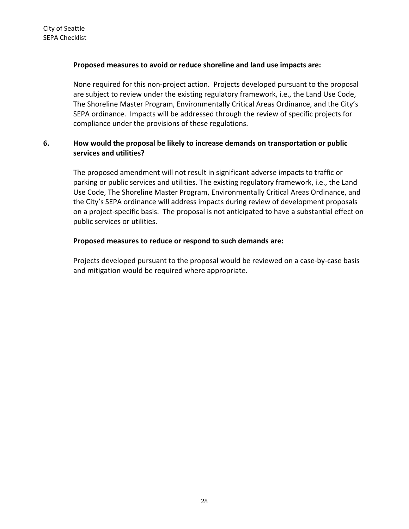### **Proposed measures to avoid or reduce shoreline and land use impacts are:**

None required for this non‐project action. Projects developed pursuant to the proposal are subject to review under the existing regulatory framework, i.e., the Land Use Code, The Shoreline Master Program, Environmentally Critical Areas Ordinance, and the City's SEPA ordinance. Impacts will be addressed through the review of specific projects for compliance under the provisions of these regulations.

# **6. How would the proposal be likely to increase demands on transportation or public services and utilities?**

The proposed amendment will not result in significant adverse impacts to traffic or parking or public services and utilities. The existing regulatory framework, i.e., the Land Use Code, The Shoreline Master Program, Environmentally Critical Areas Ordinance, and the City's SEPA ordinance will address impacts during review of development proposals on a project‐specific basis. The proposal is not anticipated to have a substantial effect on public services or utilities.

### **Proposed measures to reduce or respond to such demands are:**

Projects developed pursuant to the proposal would be reviewed on a case‐by‐case basis and mitigation would be required where appropriate.